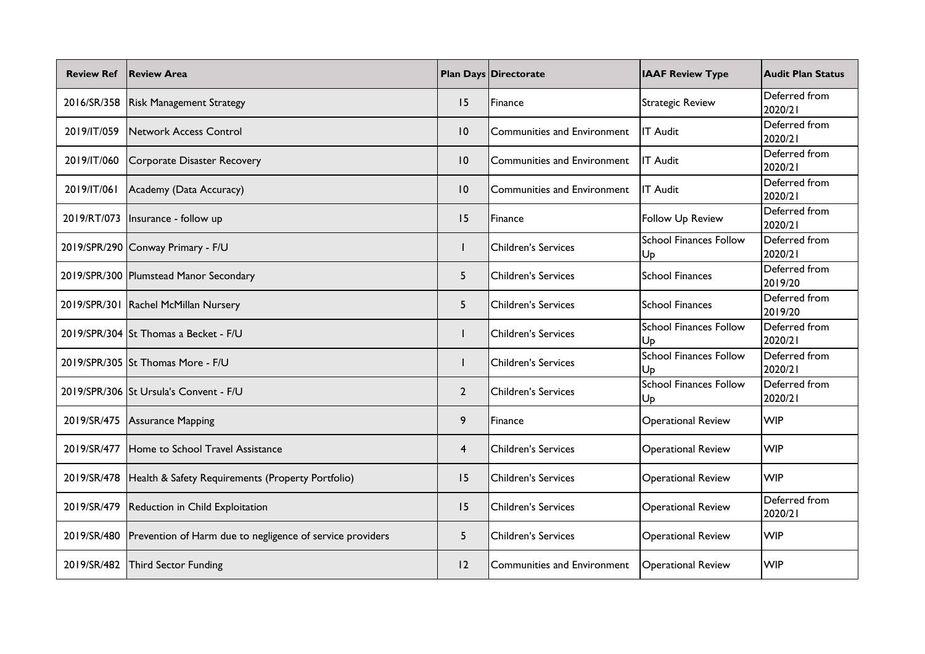| <b>Review Ref</b> | <b>Review Area</b>                                        |                 | <b>Plan Days Directorate</b>       | <b>IAAF Review Type</b>             | <b>Audit Plan Status</b> |
|-------------------|-----------------------------------------------------------|-----------------|------------------------------------|-------------------------------------|--------------------------|
|                   | 2016/SR/358   Risk Management Strategy                    | 15              | Finance                            | <b>Strategic Review</b>             | Deferred from<br>2020/21 |
| 2019/IT/059       | Network Access Control                                    | $\overline{10}$ | Communities and Environment        | <b>IT Audit</b>                     | Deferred from<br>2020/21 |
| 2019/IT/060       | Corporate Disaster Recovery                               | $\overline{10}$ | <b>Communities and Environment</b> | <b>IT Audit</b>                     | Deferred from<br>2020/21 |
| 2019/IT/061       | Academy (Data Accuracy)                                   | $\overline{10}$ | Communities and Environment        | <b>IT Audit</b>                     | Deferred from<br>2020/21 |
| 2019/RT/073       | Insurance - follow up                                     | 15              | Finance                            | Follow Up Review                    | Deferred from<br>2020/21 |
|                   | 2019/SPR/290 Conway Primary - F/U                         |                 | <b>Children's Services</b>         | <b>School Finances Follow</b><br>Up | Deferred from<br>2020/21 |
|                   | 2019/SPR/300 Plumstead Manor Secondary                    | 5               | Children's Services                | <b>School Finances</b>              | Deferred from<br>2019/20 |
|                   | 2019/SPR/301 Rachel McMillan Nursery                      | 5               | <b>Children's Services</b>         | <b>School Finances</b>              | Deferred from<br>2019/20 |
|                   | 2019/SPR/304 St Thomas a Becket - F/U                     |                 | <b>Children's Services</b>         | <b>School Finances Follow</b><br>Up | Deferred from<br>2020/21 |
|                   | 2019/SPR/305 St Thomas More - F/U                         |                 | <b>Children's Services</b>         | School Finances Follow<br>Up        | Deferred from<br>2020/21 |
|                   | 2019/SPR/306 St Ursula's Convent - F/U                    | $\overline{2}$  | <b>Children's Services</b>         | <b>School Finances Follow</b><br>Up | Deferred from<br>2020/21 |
| 2019/SR/475       | <b>Assurance Mapping</b>                                  | 9               | Finance                            | <b>Operational Review</b>           | <b>WIP</b>               |
| 2019/SR/477       | Home to School Travel Assistance                          | $\overline{4}$  | <b>Children's Services</b>         | <b>Operational Review</b>           | <b>WIP</b>               |
| 2019/SR/478       | Health & Safety Requirements (Property Portfolio)         | 15              | <b>Children's Services</b>         | <b>Operational Review</b>           | <b>WIP</b>               |
|                   | 2019/SR/479 Reduction in Child Exploitation               | 15              | <b>Children's Services</b>         | <b>Operational Review</b>           | Deferred from<br>2020/21 |
| 2019/SR/480       | Prevention of Harm due to negligence of service providers | 5               | <b>Children's Services</b>         | <b>Operational Review</b>           | <b>WIP</b>               |
| 2019/SR/482       | <b>Third Sector Funding</b>                               | $ 2\rangle$     | Communities and Environment        | <b>Operational Review</b>           | <b>WIP</b>               |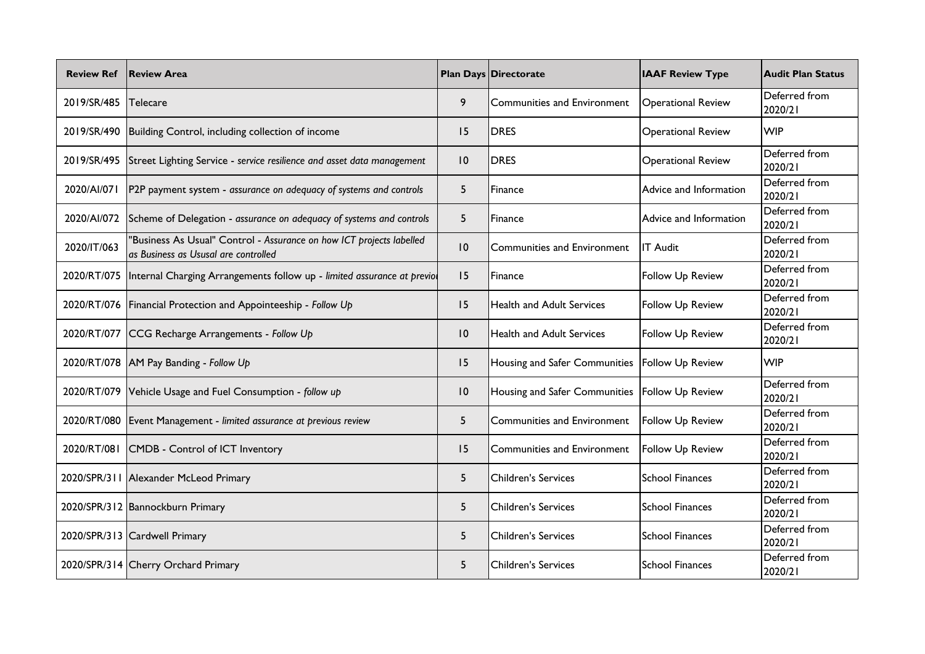| <b>Review Ref</b> | <b>Review Area</b>                                                                                           |                | <b>Plan Days Directorate</b>     | <b>IAAF Review Type</b>   | <b>Audit Plan Status</b> |
|-------------------|--------------------------------------------------------------------------------------------------------------|----------------|----------------------------------|---------------------------|--------------------------|
| 2019/SR/485       | Telecare                                                                                                     | 9              | Communities and Environment      | <b>Operational Review</b> | Deferred from<br>2020/21 |
| 2019/SR/490       | Building Control, including collection of income                                                             | 15             | DRES                             | <b>Operational Review</b> | <b>WIP</b>               |
| 2019/SR/495       | Street Lighting Service - service resilience and asset data management                                       | 10             | <b>DRES</b>                      | <b>Operational Review</b> | Deferred from<br>2020/21 |
| 2020/AI/071       | P2P payment system - assurance on adequacy of systems and controls                                           | 5              | Finance                          | Advice and Information    | Deferred from<br>2020/21 |
| 2020/AI/072       | Scheme of Delegation - assurance on adequacy of systems and controls                                         | 5 <sup>5</sup> | Finance                          | Advice and Information    | Deferred from<br>2020/21 |
| 2020/IT/063       | "Business As Usual" Control - Assurance on how ICT projects labelled<br>as Business as Ususal are controlled | 10             | Communities and Environment      | <b>IT Audit</b>           | Deferred from<br>2020/21 |
| 2020/RT/075       | Internal Charging Arrangements follow up - limited assurance at previol                                      | 15             | Finance                          | Follow Up Review          | Deferred from<br>2020/21 |
|                   | 2020/RT/076   Financial Protection and Appointeeship - Follow Up                                             | 15             | <b>Health and Adult Services</b> | Follow Up Review          | Deferred from<br>2020/21 |
| 2020/RT/077       | CCG Recharge Arrangements - Follow Up                                                                        | 10             | <b>Health and Adult Services</b> | Follow Up Review          | Deferred from<br>2020/21 |
|                   | 2020/RT/078   AM Pay Banding - Follow Up                                                                     | 15             | Housing and Safer Communities    | Follow Up Review          | <b>WIP</b>               |
| 2020/RT/079       | Vehicle Usage and Fuel Consumption - follow up                                                               | 10             | Housing and Safer Communities    | <b>Follow Up Review</b>   | Deferred from<br>2020/21 |
| 2020/RT/080       | Event Management - limited assurance at previous review                                                      | 5              | Communities and Environment      | Follow Up Review          | Deferred from<br>2020/21 |
| 2020/RT/081       | CMDB - Control of ICT Inventory                                                                              | 15             | Communities and Environment      | Follow Up Review          | Deferred from<br>2020/21 |
|                   | 2020/SPR/311 Alexander McLeod Primary                                                                        | 5              | <b>Children's Services</b>       | <b>School Finances</b>    | Deferred from<br>2020/21 |
|                   | 2020/SPR/312 Bannockburn Primary                                                                             | 5              | Children's Services              | <b>School Finances</b>    | Deferred from<br>2020/21 |
|                   | 2020/SPR/313 Cardwell Primary                                                                                | 5              | <b>Children's Services</b>       | <b>School Finances</b>    | Deferred from<br>2020/21 |
|                   | 2020/SPR/314 Cherry Orchard Primary                                                                          | 5              | Children's Services              | <b>School Finances</b>    | Deferred from<br>2020/21 |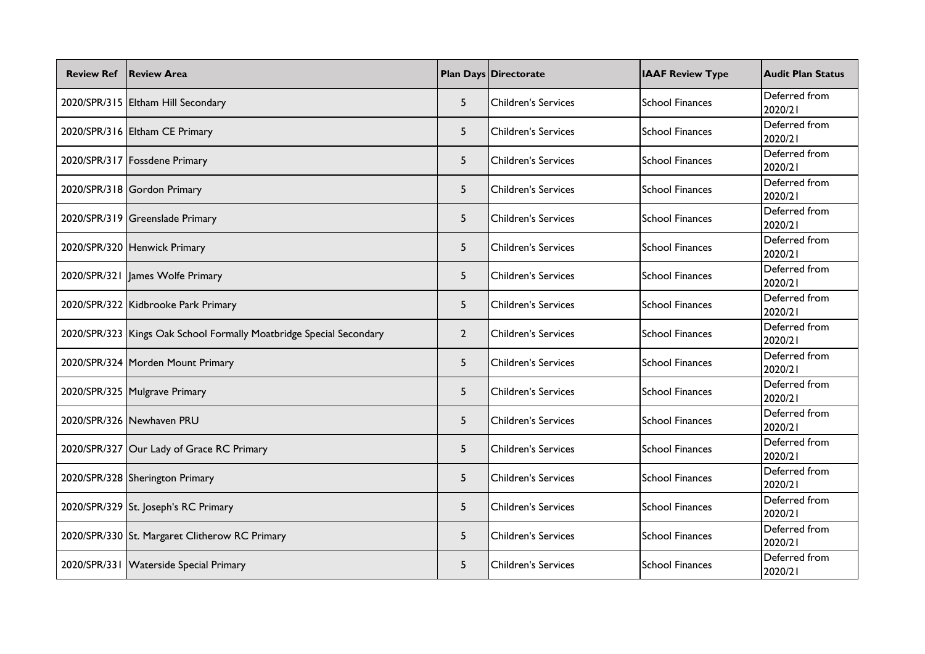| <b>Review Ref</b> | <b>Review Area</b>                                                    |                | <b>Plan Days Directorate</b> | <b>IAAF Review Type</b> | <b>Audit Plan Status</b> |
|-------------------|-----------------------------------------------------------------------|----------------|------------------------------|-------------------------|--------------------------|
|                   | 2020/SPR/315 Eltham Hill Secondary                                    | 5              | <b>Children's Services</b>   | <b>School Finances</b>  | Deferred from<br>2020/21 |
|                   | 2020/SPR/316 Eltham CE Primary                                        | 5              | <b>Children's Services</b>   | <b>School Finances</b>  | Deferred from<br>2020/21 |
|                   | 2020/SPR/317   Fossdene Primary                                       | 5 <sup>5</sup> | <b>Children's Services</b>   | <b>School Finances</b>  | Deferred from<br>2020/21 |
|                   | 2020/SPR/318 Gordon Primary                                           | 5              | <b>Children's Services</b>   | <b>School Finances</b>  | Deferred from<br>2020/21 |
|                   | 2020/SPR/319 Greenslade Primary                                       | 5              | <b>Children's Services</b>   | <b>School Finances</b>  | Deferred from<br>2020/21 |
|                   | 2020/SPR/320 Henwick Primary                                          | 5 <sup>5</sup> | <b>Children's Services</b>   | School Finances         | Deferred from<br>2020/21 |
|                   | 2020/SPR/321   James Wolfe Primary                                    | 5 <sup>5</sup> | <b>Children's Services</b>   | <b>School Finances</b>  | Deferred from<br>2020/21 |
|                   | 2020/SPR/322 Kidbrooke Park Primary                                   | 5              | <b>Children's Services</b>   | <b>School Finances</b>  | Deferred from<br>2020/21 |
|                   | 2020/SPR/323   Kings Oak School Formally Moatbridge Special Secondary | $\overline{2}$ | <b>Children's Services</b>   | <b>School Finances</b>  | Deferred from<br>2020/21 |
|                   | 2020/SPR/324   Morden Mount Primary                                   | 5 <sup>5</sup> | <b>Children's Services</b>   | <b>School Finances</b>  | Deferred from<br>2020/21 |
|                   | 2020/SPR/325 Mulgrave Primary                                         | 5              | <b>Children's Services</b>   | <b>School Finances</b>  | Deferred from<br>2020/21 |
|                   | 2020/SPR/326 Newhaven PRU                                             | 5 <sup>5</sup> | <b>Children's Services</b>   | <b>School Finances</b>  | Deferred from<br>2020/21 |
|                   | 2020/SPR/327 Our Lady of Grace RC Primary                             | 5 <sup>5</sup> | <b>Children's Services</b>   | <b>School Finances</b>  | Deferred from<br>2020/21 |
|                   | 2020/SPR/328 Sherington Primary                                       | 5 <sup>5</sup> | <b>Children's Services</b>   | School Finances         | Deferred from<br>2020/21 |
|                   | 2020/SPR/329 St. Joseph's RC Primary                                  | 5              | <b>Children's Services</b>   | <b>School Finances</b>  | Deferred from<br>2020/21 |
|                   | 2020/SPR/330 St. Margaret Clitherow RC Primary                        | 5              | <b>Children's Services</b>   | <b>School Finances</b>  | Deferred from<br>2020/21 |
|                   | 2020/SPR/331 Waterside Special Primary                                | 5              | <b>Children's Services</b>   | <b>School Finances</b>  | Deferred from<br>2020/21 |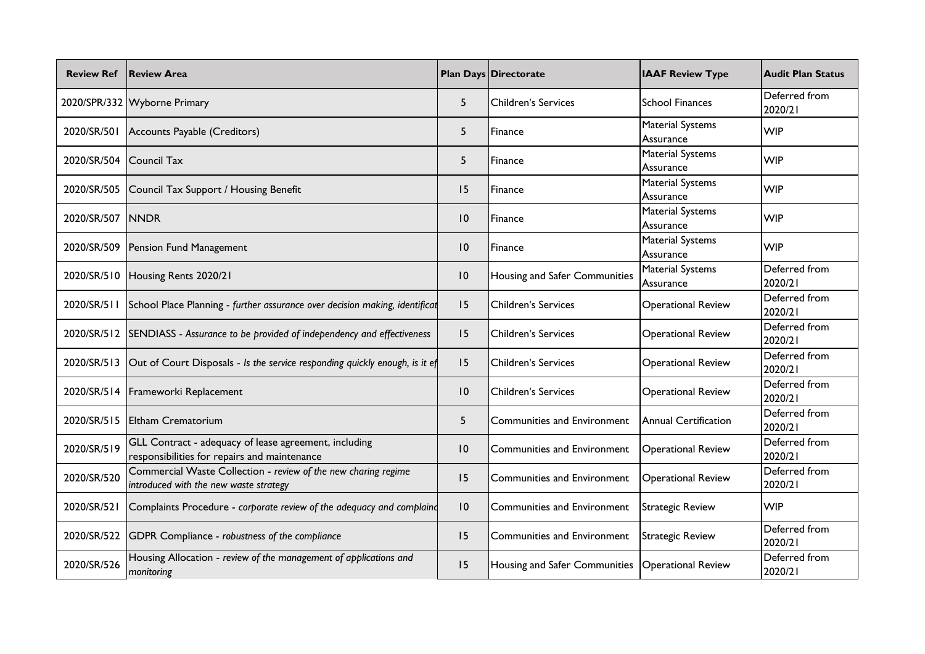| <b>Review Ref</b>       | <b>Review Area</b>                                                                                       |                 | <b>Plan Days Directorate</b>  | <b>IAAF Review Type</b>              | <b>Audit Plan Status</b> |
|-------------------------|----------------------------------------------------------------------------------------------------------|-----------------|-------------------------------|--------------------------------------|--------------------------|
|                         | 2020/SPR/332 Wyborne Primary                                                                             | 5               | <b>Children's Services</b>    | <b>School Finances</b>               | Deferred from<br>2020/21 |
| 2020/SR/501             | Accounts Payable (Creditors)                                                                             | 5               | Finance                       | <b>Material Systems</b><br>Assurance | <b>WIP</b>               |
| 2020/SR/504 Council Tax |                                                                                                          | 5               | Finance                       | <b>Material Systems</b><br>Assurance | <b>WIP</b>               |
| 2020/SR/505             | Council Tax Support / Housing Benefit                                                                    | 15              | Finance                       | <b>Material Systems</b><br>Assurance | <b>WIP</b>               |
| 2020/SR/507             | <b>NNDR</b>                                                                                              | 10              | Finance                       | <b>Material Systems</b><br>Assurance | <b>WIP</b>               |
| 2020/SR/509             | Pension Fund Management                                                                                  | $\overline{10}$ | Finance                       | <b>Material Systems</b><br>Assurance | <b>WIP</b>               |
| 2020/SR/510             | Housing Rents 2020/21                                                                                    | $\overline{10}$ | Housing and Safer Communities | <b>Material Systems</b><br>Assurance | Deferred from<br>2020/21 |
| 2020/SR/511             | School Place Planning - further assurance over decision making, identificat                              | 15              | <b>Children's Services</b>    | <b>Operational Review</b>            | Deferred from<br>2020/21 |
| 2020/SR/512             | SENDIASS - Assurance to be provided of independency and effectiveness                                    | 15              | <b>Children's Services</b>    | <b>Operational Review</b>            | Deferred from<br>2020/21 |
| 2020/SR/513             | Out of Court Disposals - Is the service responding quickly enough, is it ef                              | 15              | <b>Children's Services</b>    | <b>Operational Review</b>            | Deferred from<br>2020/21 |
| 2020/SR/514             | Frameworki Replacement                                                                                   | 10              | <b>Children's Services</b>    | <b>Operational Review</b>            | Deferred from<br>2020/21 |
| 2020/SR/515             | <b>Eltham Crematorium</b>                                                                                | 5               | Communities and Environment   | Annual Certification                 | Deferred from<br>2020/21 |
| 2020/SR/519             | GLL Contract - adequacy of lease agreement, including<br>responsibilities for repairs and maintenance    | $\overline{10}$ | Communities and Environment   | <b>Operational Review</b>            | Deferred from<br>2020/21 |
| 2020/SR/520             | Commercial Waste Collection - review of the new charing regime<br>introduced with the new waste strategy | 15              | Communities and Environment   | <b>Operational Review</b>            | Deferred from<br>2020/21 |
| 2020/SR/521             | Complaints Procedure - corporate review of the adequacy and complaind                                    | $\overline{10}$ | Communities and Environment   | <b>Strategic Review</b>              | <b>WIP</b>               |
| 2020/SR/522             | GDPR Compliance - robustness of the compliance                                                           | 15              | Communities and Environment   | <b>Strategic Review</b>              | Deferred from<br>2020/21 |
| 2020/SR/526             | Housing Allocation - review of the management of applications and<br>monitoring                          | 15              | Housing and Safer Communities | <b>Operational Review</b>            | Deferred from<br>2020/21 |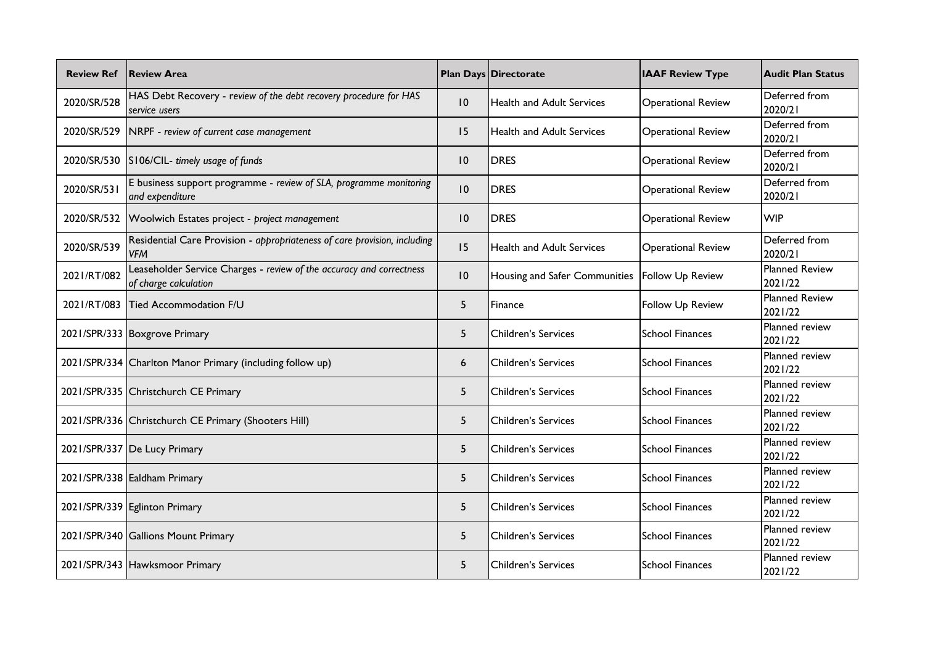| <b>Review Ref</b> | <b>Review Area</b>                                                                            |                 | <b>Plan Days Directorate</b>     | <b>IAAF Review Type</b>   | <b>Audit Plan Status</b>         |
|-------------------|-----------------------------------------------------------------------------------------------|-----------------|----------------------------------|---------------------------|----------------------------------|
| 2020/SR/528       | HAS Debt Recovery - review of the debt recovery procedure for HAS<br>service users            | $\overline{10}$ | <b>Health and Adult Services</b> | <b>Operational Review</b> | Deferred from<br>2020/21         |
| 2020/SR/529       | NRPF - review of current case management                                                      | 15              | <b>Health and Adult Services</b> | <b>Operational Review</b> | Deferred from<br>2020/21         |
| 2020/SR/530       | S106/CIL- timely usage of funds                                                               | $\overline{10}$ | <b>DRES</b>                      | <b>Operational Review</b> | Deferred from<br>2020/21         |
| 2020/SR/531       | E business support programme - review of SLA, programme monitoring<br>and expenditure         | $\overline{10}$ | <b>DRES</b>                      | <b>Operational Review</b> | Deferred from<br>2020/21         |
| 2020/SR/532       | Woolwich Estates project - project management                                                 | $\overline{10}$ | <b>DRES</b>                      | <b>Operational Review</b> | <b>WIP</b>                       |
| 2020/SR/539       | Residential Care Provision - appropriateness of care provision, including<br><b>VFM</b>       | 15              | <b>Health and Adult Services</b> | <b>Operational Review</b> | Deferred from<br>2020/21         |
| 2021/RT/082       | Leaseholder Service Charges - review of the accuracy and correctness<br>of charge calculation | $\overline{10}$ | Housing and Safer Communities    | Follow Up Review          | <b>Planned Review</b><br>2021/22 |
| 2021/RT/083       | <b>Tied Accommodation F/U</b>                                                                 | 5.              | Finance                          | <b>Follow Up Review</b>   | <b>Planned Review</b><br>2021/22 |
|                   | 2021/SPR/333 Boxgrove Primary                                                                 | 5               | <b>Children's Services</b>       | <b>School Finances</b>    | <b>Planned review</b><br>2021/22 |
|                   | 2021/SPR/334 Charlton Manor Primary (including follow up)                                     | 6               | <b>Children's Services</b>       | <b>School Finances</b>    | Planned review<br>2021/22        |
|                   | 2021/SPR/335 Christchurch CE Primary                                                          | 5               | <b>Children's Services</b>       | <b>School Finances</b>    | Planned review<br>2021/22        |
|                   | 2021/SPR/336 Christchurch CE Primary (Shooters Hill)                                          | 5               | <b>Children's Services</b>       | <b>School Finances</b>    | Planned review<br>2021/22        |
|                   | 2021/SPR/337 De Lucy Primary                                                                  | 5               | <b>Children's Services</b>       | <b>School Finances</b>    | Planned review<br>2021/22        |
|                   | 2021/SPR/338 Ealdham Primary                                                                  | 5               | <b>Children's Services</b>       | <b>School Finances</b>    | Planned review<br>2021/22        |
|                   | 2021/SPR/339 Eglinton Primary                                                                 | 5               | <b>Children's Services</b>       | <b>School Finances</b>    | <b>Planned</b> review<br>2021/22 |
|                   | 2021/SPR/340 Gallions Mount Primary                                                           | 5               | <b>Children's Services</b>       | <b>School Finances</b>    | Planned review<br>2021/22        |
|                   | 2021/SPR/343 Hawksmoor Primary                                                                | 5               | <b>Children's Services</b>       | <b>School Finances</b>    | Planned review<br>2021/22        |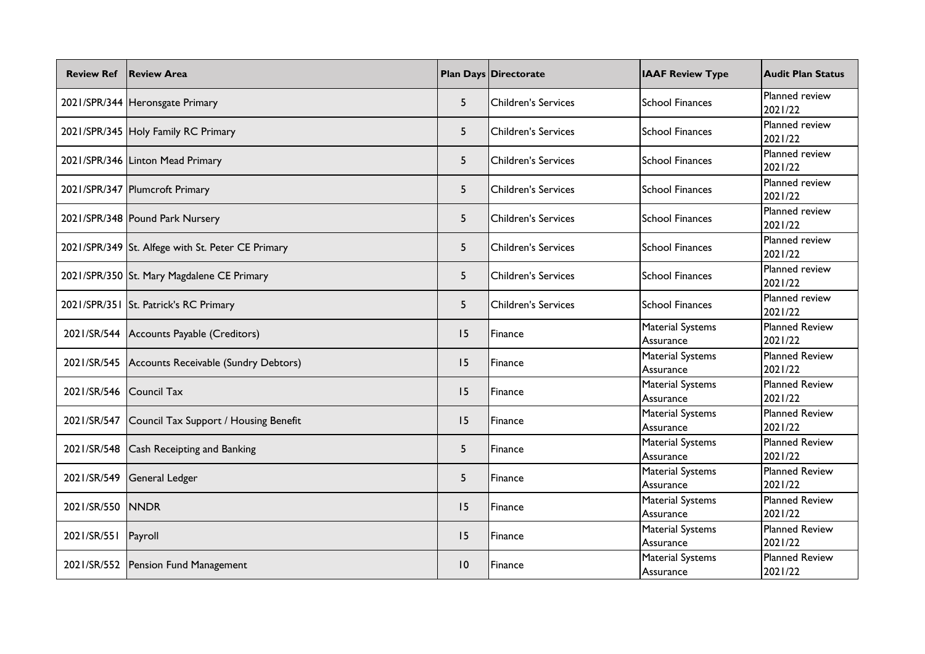| <b>Review Ref</b>   | <b>Review Area</b>                                |                 | <b>Plan Days Directorate</b> | <b>IAAF Review Type</b>              | <b>Audit Plan Status</b>         |
|---------------------|---------------------------------------------------|-----------------|------------------------------|--------------------------------------|----------------------------------|
|                     | 2021/SPR/344 Heronsgate Primary                   | 5 <sup>5</sup>  | <b>Children's Services</b>   | <b>School Finances</b>               | Planned review<br>2021/22        |
|                     | 2021/SPR/345 Holy Family RC Primary               | 5 <sup>5</sup>  | <b>Children's Services</b>   | <b>School Finances</b>               | Planned review<br>2021/22        |
|                     | 2021/SPR/346 Linton Mead Primary                  | 5 <sup>5</sup>  | <b>Children's Services</b>   | <b>School Finances</b>               | Planned review<br>2021/22        |
|                     | 2021/SPR/347 Plumcroft Primary                    | 5 <sup>5</sup>  | <b>Children's Services</b>   | <b>School Finances</b>               | Planned review<br>2021/22        |
|                     | 2021/SPR/348 Pound Park Nursery                   | 5 <sup>5</sup>  | <b>Children's Services</b>   | School Finances                      | Planned review<br>2021/22        |
|                     | 2021/SPR/349 St. Alfege with St. Peter CE Primary | 5               | <b>Children's Services</b>   | <b>School Finances</b>               | Planned review<br>2021/22        |
|                     | 2021/SPR/350 St. Mary Magdalene CE Primary        | 5               | <b>Children's Services</b>   | <b>School Finances</b>               | Planned review<br>2021/22        |
|                     | 2021/SPR/351 St. Patrick's RC Primary             | 5               | <b>Children's Services</b>   | <b>School Finances</b>               | Planned review<br>2021/22        |
|                     | 2021/SR/544 Accounts Payable (Creditors)          | 15              | Finance                      | <b>Material Systems</b><br>Assurance | <b>Planned Review</b><br>2021/22 |
| 2021/SR/545         | Accounts Receivable (Sundry Debtors)              | 15              | Finance                      | <b>Material Systems</b><br>Assurance | <b>Planned Review</b><br>2021/22 |
| 2021/SR/546         | <b>Council Tax</b>                                | 15              | Finance                      | <b>Material Systems</b><br>Assurance | <b>Planned Review</b><br>2021/22 |
| 2021/SR/547         | Council Tax Support / Housing Benefit             | 15              | Finance                      | <b>Material Systems</b><br>Assurance | <b>Planned Review</b><br>2021/22 |
| 2021/SR/548         | Cash Receipting and Banking                       | 5               | Finance                      | <b>Material Systems</b><br>Assurance | <b>Planned Review</b><br>2021/22 |
| 2021/SR/549         | <b>General Ledger</b>                             | 5               | Finance                      | <b>Material Systems</b><br>Assurance | <b>Planned Review</b><br>2021/22 |
| 2021/SR/550 NNDR    |                                                   | 15              | Finance                      | Material Systems<br>Assurance        | <b>Planned Review</b><br>2021/22 |
| 2021/SR/551 Payroll |                                                   | 15              | Finance                      | Material Systems<br>Assurance        | <b>Planned Review</b><br>2021/22 |
|                     | 2021/SR/552 Pension Fund Management               | $\overline{10}$ | Finance                      | <b>Material Systems</b><br>Assurance | <b>Planned Review</b><br>2021/22 |